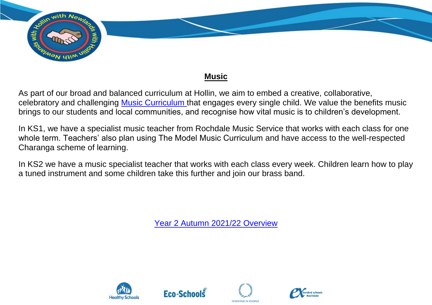

## **Music**

As part of our broad and balanced curriculum at Hollin, we aim to embed a creative, collaborative, celebratory and challenging [Music Curriculum t](https://assets.publishing.service.gov.uk/government/uploads/system/uploads/attachment_data/file/239037/PRIMARY_national_curriculum_-_Music.pdf)hat engages every single child. We value the benefits music brings to our students and local communities, and recognise how vital music is to children's development.

In KS1, we have a specialist music teacher from Rochdale Music Service that works with each class for one whole term. Teachers' also plan using The Model Music Curriculum and have access to the well-respected Charanga scheme of learning.

In KS2 we have a music specialist teacher that works with each class every week. Children learn how to play a tuned instrument and some children take this further and join our brass band.

[Year 2 Autumn 2021/22 Overview](../../../OneDrive%20-%20Hollin%20Primary%20School/Creative%20Curriculum/Website/Webiste%20LTP/Music%20KS1%20&%20KS2/Year%202C%20Music%20RMC.pdf)







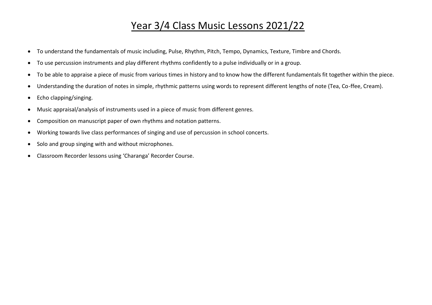## Year 3/4 Class Music Lessons 2021/22

- To understand the fundamentals of music including, Pulse, Rhythm, Pitch, Tempo, Dynamics, Texture, Timbre and Chords.
- To use percussion instruments and play different rhythms confidently to a pulse individually or in a group.
- To be able to appraise a piece of music from various times in history and to know how the different fundamentals fit together within the piece.
- Understanding the duration of notes in simple, rhythmic patterns using words to represent different lengths of note (Tea, Co-ffee, Cream).
- Echo clapping/singing.
- Music appraisal/analysis of instruments used in a piece of music from different genres.
- Composition on manuscript paper of own rhythms and notation patterns.
- Working towards live class performances of singing and use of percussion in school concerts.
- Solo and group singing with and without microphones.
- Classroom Recorder lessons using 'Charanga' Recorder Course.